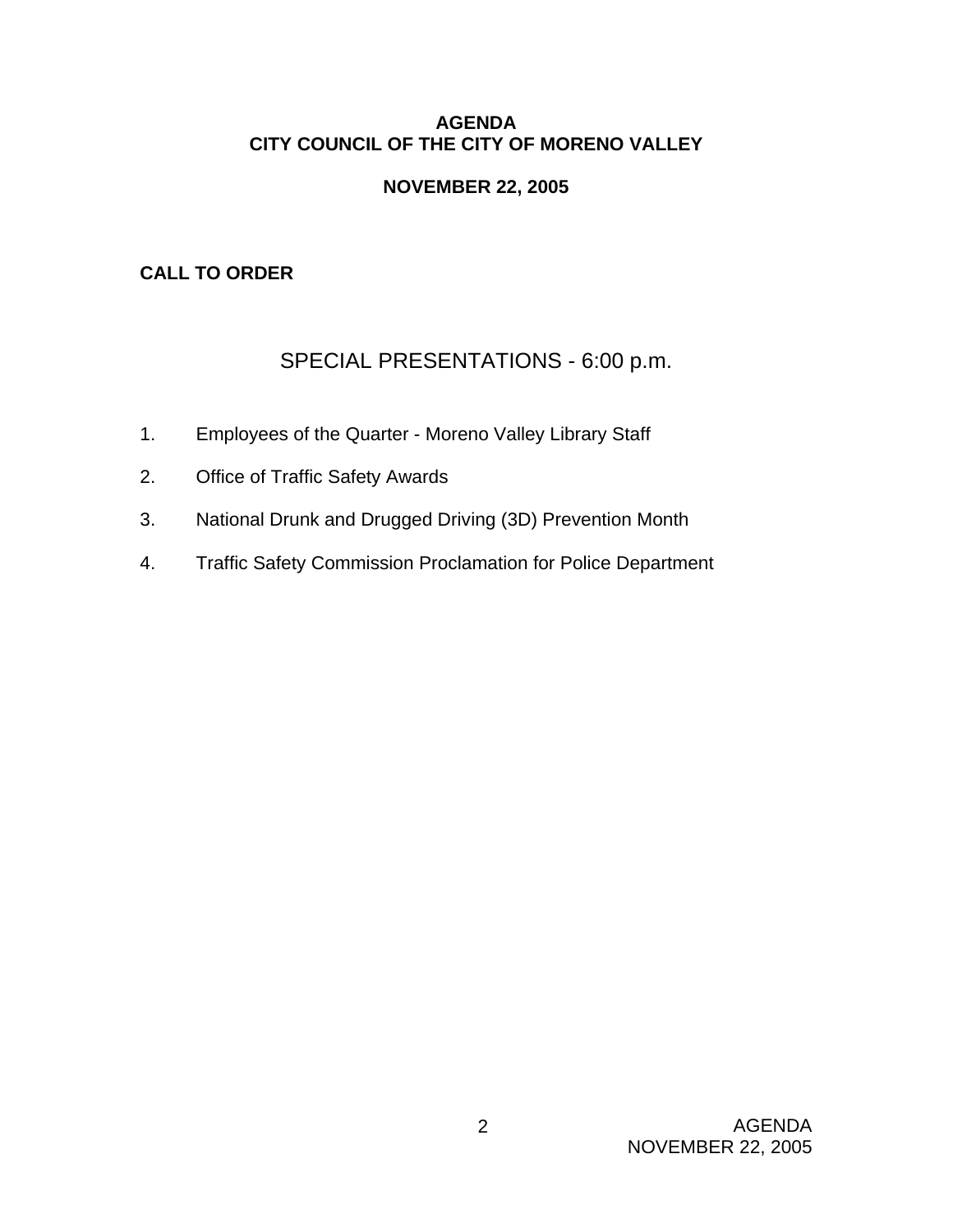### **AGENDA CITY COUNCIL OF THE CITY OF MORENO VALLEY**

# **NOVEMBER 22, 2005**

# **CALL TO ORDER**

# SPECIAL PRESENTATIONS - 6:00 p.m.

- 1. Employees of the Quarter Moreno Valley Library Staff
- 2. Office of Traffic Safety Awards
- 3. National Drunk and Drugged Driving (3D) Prevention Month
- 4. Traffic Safety Commission Proclamation for Police Department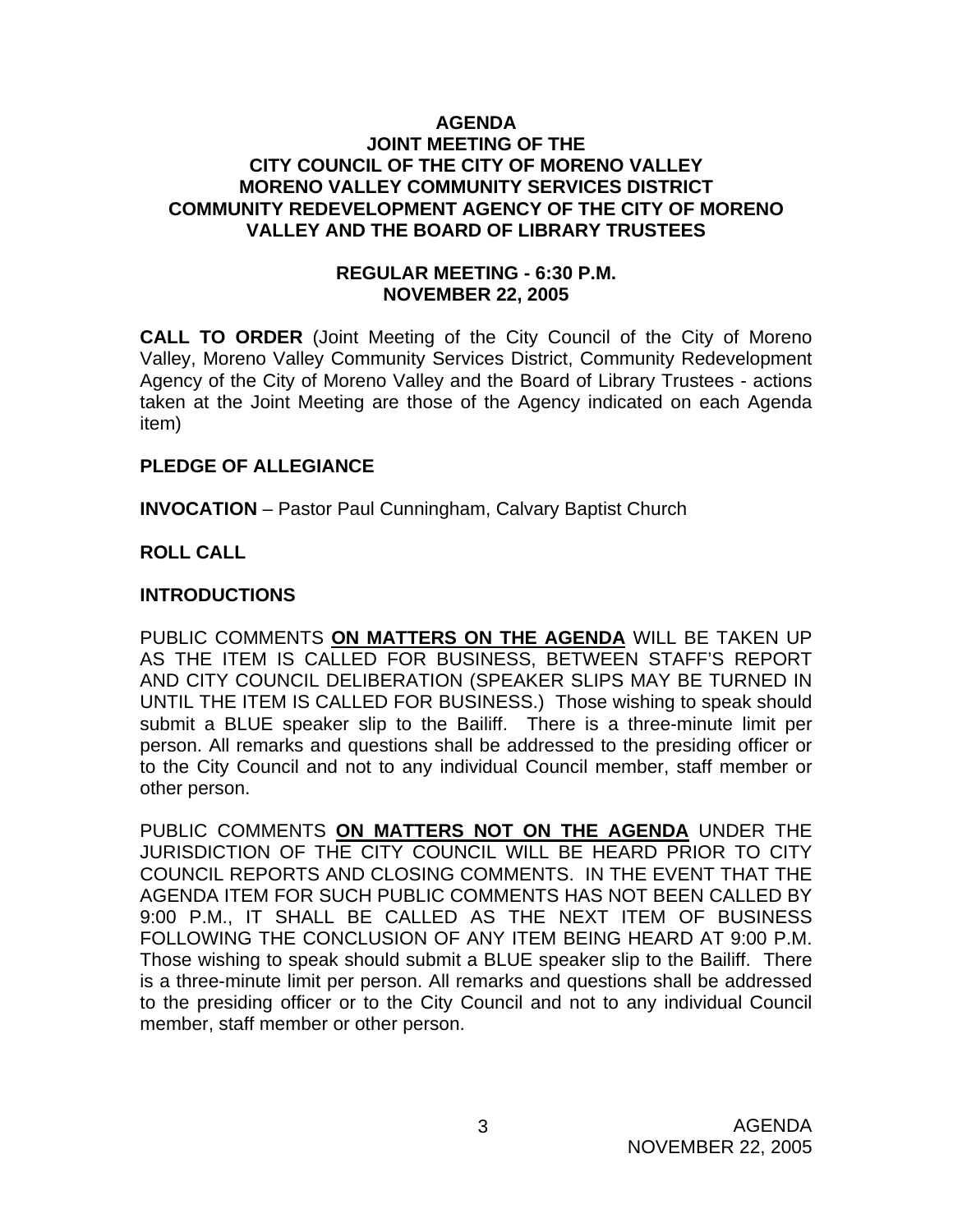#### **AGENDA JOINT MEETING OF THE CITY COUNCIL OF THE CITY OF MORENO VALLEY MORENO VALLEY COMMUNITY SERVICES DISTRICT COMMUNITY REDEVELOPMENT AGENCY OF THE CITY OF MORENO VALLEY AND THE BOARD OF LIBRARY TRUSTEES**

### **REGULAR MEETING - 6:30 P.M. NOVEMBER 22, 2005**

**CALL TO ORDER** (Joint Meeting of the City Council of the City of Moreno Valley, Moreno Valley Community Services District, Community Redevelopment Agency of the City of Moreno Valley and the Board of Library Trustees - actions taken at the Joint Meeting are those of the Agency indicated on each Agenda item)

### **PLEDGE OF ALLEGIANCE**

**INVOCATION** – Pastor Paul Cunningham, Calvary Baptist Church

# **ROLL CALL**

### **INTRODUCTIONS**

PUBLIC COMMENTS **ON MATTERS ON THE AGENDA** WILL BE TAKEN UP AS THE ITEM IS CALLED FOR BUSINESS, BETWEEN STAFF'S REPORT AND CITY COUNCIL DELIBERATION (SPEAKER SLIPS MAY BE TURNED IN UNTIL THE ITEM IS CALLED FOR BUSINESS.) Those wishing to speak should submit a BLUE speaker slip to the Bailiff. There is a three-minute limit per person. All remarks and questions shall be addressed to the presiding officer or to the City Council and not to any individual Council member, staff member or other person.

PUBLIC COMMENTS **ON MATTERS NOT ON THE AGENDA** UNDER THE JURISDICTION OF THE CITY COUNCIL WILL BE HEARD PRIOR TO CITY COUNCIL REPORTS AND CLOSING COMMENTS. IN THE EVENT THAT THE AGENDA ITEM FOR SUCH PUBLIC COMMENTS HAS NOT BEEN CALLED BY 9:00 P.M., IT SHALL BE CALLED AS THE NEXT ITEM OF BUSINESS FOLLOWING THE CONCLUSION OF ANY ITEM BEING HEARD AT 9:00 P.M. Those wishing to speak should submit a BLUE speaker slip to the Bailiff. There is a three-minute limit per person. All remarks and questions shall be addressed to the presiding officer or to the City Council and not to any individual Council member, staff member or other person.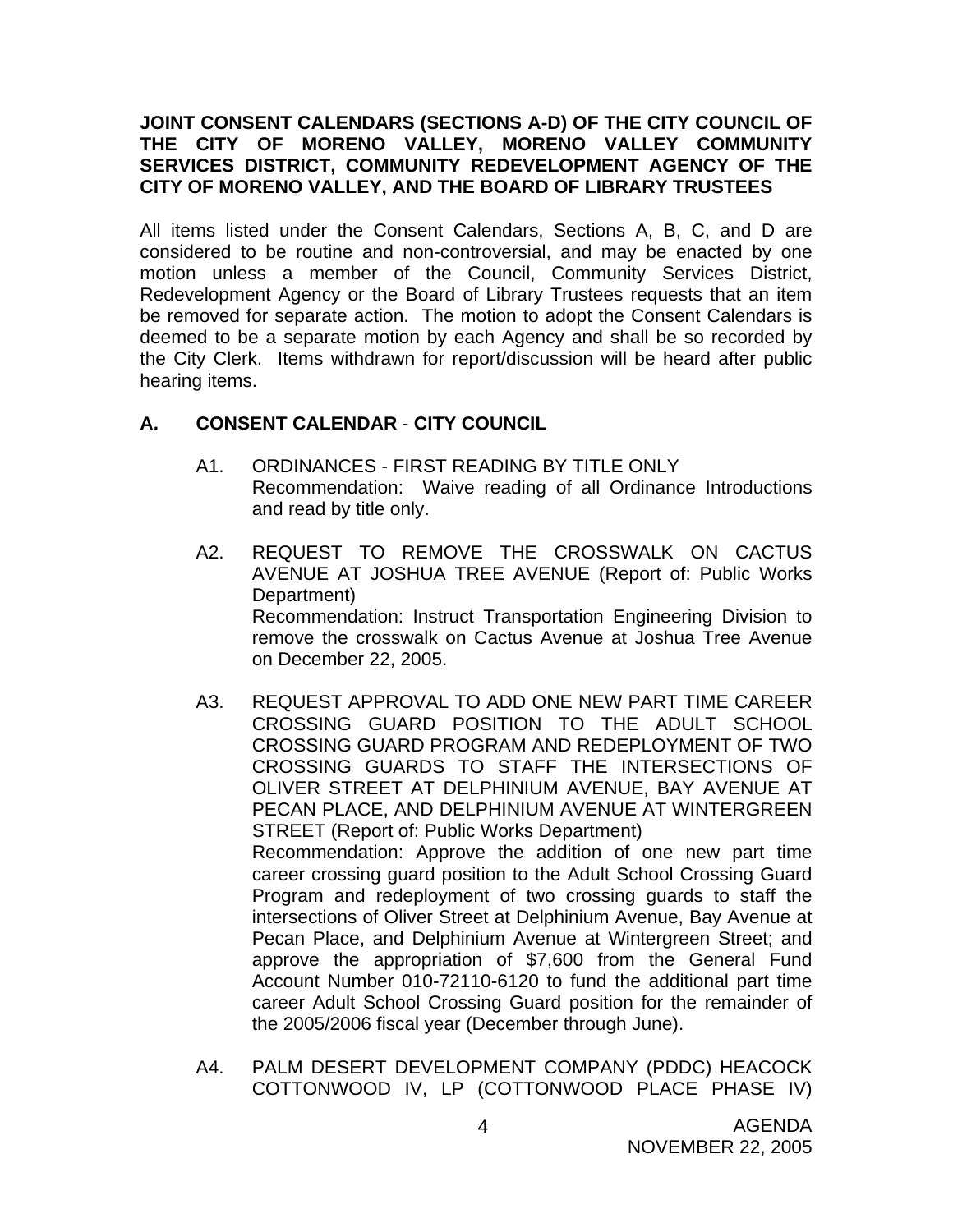### **JOINT CONSENT CALENDARS (SECTIONS A-D) OF THE CITY COUNCIL OF THE CITY OF MORENO VALLEY, MORENO VALLEY COMMUNITY SERVICES DISTRICT, COMMUNITY REDEVELOPMENT AGENCY OF THE CITY OF MORENO VALLEY, AND THE BOARD OF LIBRARY TRUSTEES**

All items listed under the Consent Calendars, Sections A, B, C, and D are considered to be routine and non-controversial, and may be enacted by one motion unless a member of the Council, Community Services District, Redevelopment Agency or the Board of Library Trustees requests that an item be removed for separate action. The motion to adopt the Consent Calendars is deemed to be a separate motion by each Agency and shall be so recorded by the City Clerk. Items withdrawn for report/discussion will be heard after public hearing items.

# **A. CONSENT CALENDAR** - **CITY COUNCIL**

- A1. ORDINANCES FIRST READING BY TITLE ONLY Recommendation: Waive reading of all Ordinance Introductions and read by title only.
- A2. REQUEST TO REMOVE THE CROSSWALK ON CACTUS AVENUE AT JOSHUA TREE AVENUE (Report of: Public Works Department) Recommendation: Instruct Transportation Engineering Division to remove the crosswalk on Cactus Avenue at Joshua Tree Avenue on December 22, 2005.
- A3. REQUEST APPROVAL TO ADD ONE NEW PART TIME CAREER CROSSING GUARD POSITION TO THE ADULT SCHOOL CROSSING GUARD PROGRAM AND REDEPLOYMENT OF TWO CROSSING GUARDS TO STAFF THE INTERSECTIONS OF OLIVER STREET AT DELPHINIUM AVENUE, BAY AVENUE AT PECAN PLACE, AND DELPHINIUM AVENUE AT WINTERGREEN STREET (Report of: Public Works Department) Recommendation: Approve the addition of one new part time career crossing guard position to the Adult School Crossing Guard Program and redeployment of two crossing guards to staff the intersections of Oliver Street at Delphinium Avenue, Bay Avenue at Pecan Place, and Delphinium Avenue at Wintergreen Street; and approve the appropriation of \$7,600 from the General Fund Account Number 010-72110-6120 to fund the additional part time career Adult School Crossing Guard position for the remainder of the 2005/2006 fiscal year (December through June).
- A4. PALM DESERT DEVELOPMENT COMPANY (PDDC) HEACOCK COTTONWOOD IV, LP (COTTONWOOD PLACE PHASE IV)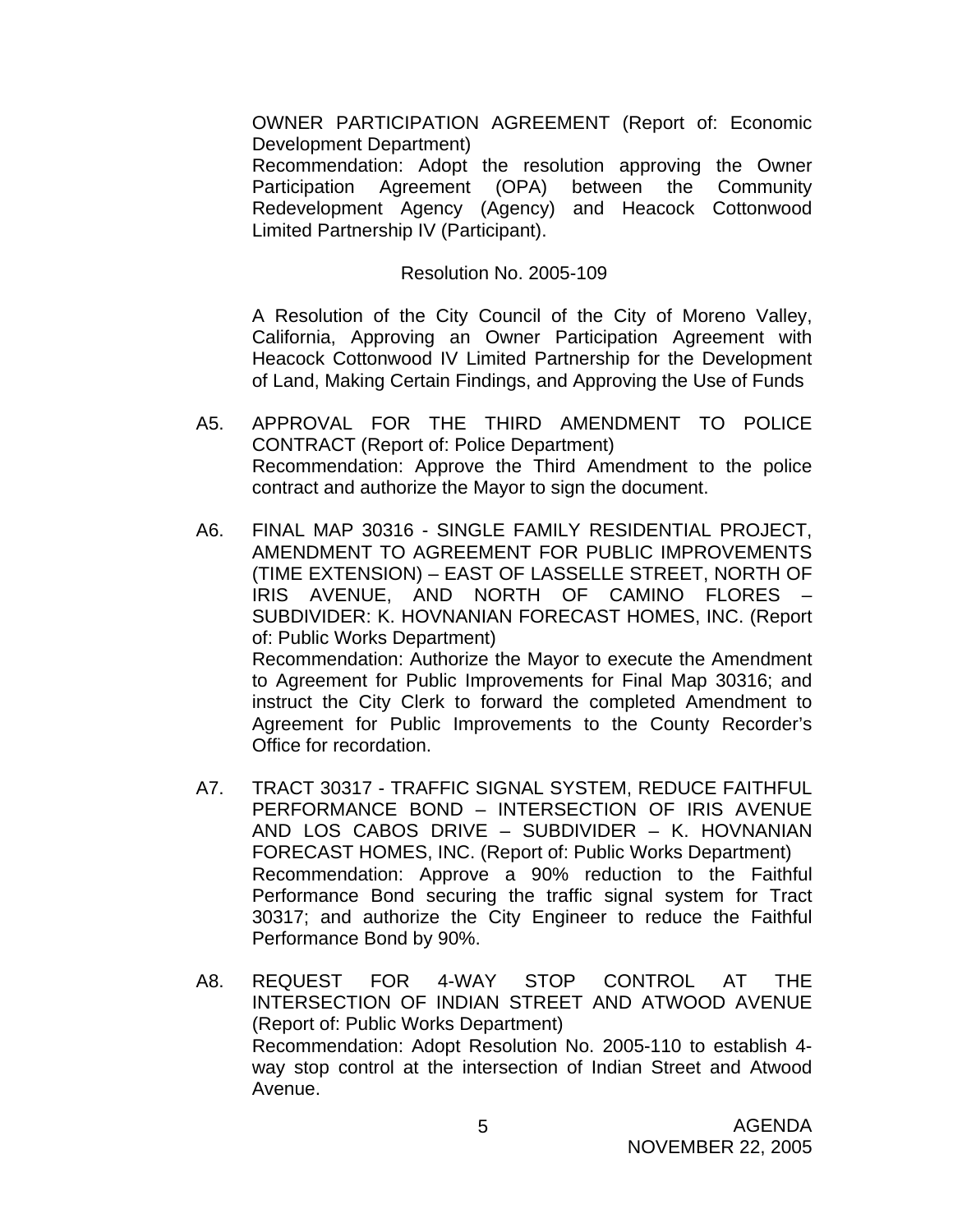OWNER PARTICIPATION AGREEMENT (Report of: Economic Development Department)

 Recommendation: Adopt the resolution approving the Owner Participation Agreement (OPA) between the Community Redevelopment Agency (Agency) and Heacock Cottonwood Limited Partnership IV (Participant).

#### Resolution No. 2005-109

 A Resolution of the City Council of the City of Moreno Valley, California, Approving an Owner Participation Agreement with Heacock Cottonwood IV Limited Partnership for the Development of Land, Making Certain Findings, and Approving the Use of Funds

- A5. APPROVAL FOR THE THIRD AMENDMENT TO POLICE CONTRACT (Report of: Police Department) Recommendation: Approve the Third Amendment to the police contract and authorize the Mayor to sign the document.
- A6. FINAL MAP 30316 SINGLE FAMILY RESIDENTIAL PROJECT, AMENDMENT TO AGREEMENT FOR PUBLIC IMPROVEMENTS (TIME EXTENSION) – EAST OF LASSELLE STREET, NORTH OF IRIS AVENUE, AND NORTH OF CAMINO FLORES – SUBDIVIDER: K. HOVNANIAN FORECAST HOMES, INC. (Report of: Public Works Department) Recommendation: Authorize the Mayor to execute the Amendment to Agreement for Public Improvements for Final Map 30316; and instruct the City Clerk to forward the completed Amendment to Agreement for Public Improvements to the County Recorder's Office for recordation.
- A7. TRACT 30317 TRAFFIC SIGNAL SYSTEM, REDUCE FAITHFUL PERFORMANCE BOND – INTERSECTION OF IRIS AVENUE AND LOS CABOS DRIVE – SUBDIVIDER – K. HOVNANIAN FORECAST HOMES, INC. (Report of: Public Works Department) Recommendation: Approve a 90% reduction to the Faithful Performance Bond securing the traffic signal system for Tract 30317; and authorize the City Engineer to reduce the Faithful Performance Bond by 90%.
- A8. REQUEST FOR 4-WAY STOP CONTROL AT THE INTERSECTION OF INDIAN STREET AND ATWOOD AVENUE (Report of: Public Works Department) Recommendation: Adopt Resolution No. 2005-110 to establish 4 way stop control at the intersection of Indian Street and Atwood Avenue.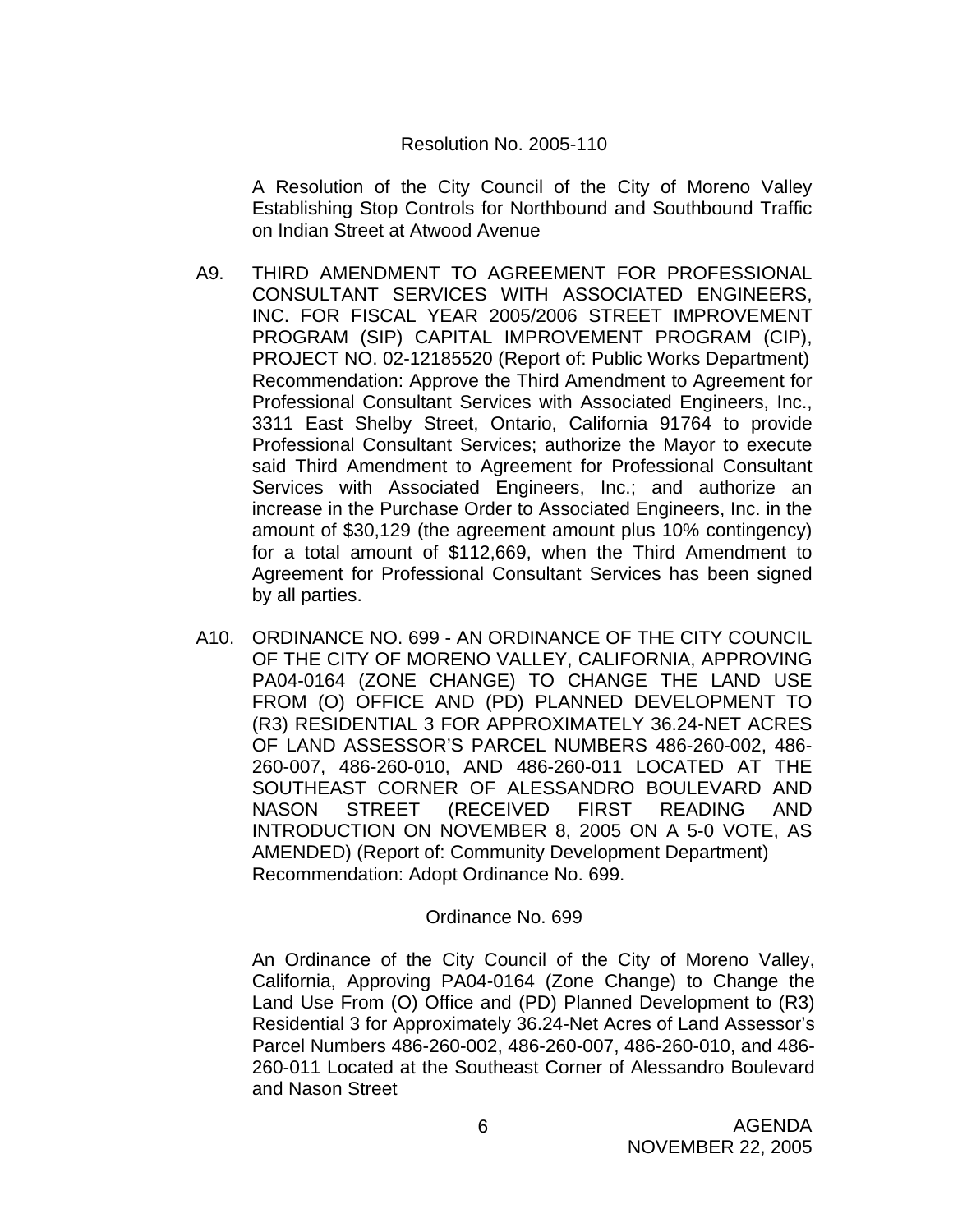#### Resolution No. 2005-110

 A Resolution of the City Council of the City of Moreno Valley Establishing Stop Controls for Northbound and Southbound Traffic on Indian Street at Atwood Avenue

- A9. THIRD AMENDMENT TO AGREEMENT FOR PROFESSIONAL CONSULTANT SERVICES WITH ASSOCIATED ENGINEERS, INC. FOR FISCAL YEAR 2005/2006 STREET IMPROVEMENT PROGRAM (SIP) CAPITAL IMPROVEMENT PROGRAM (CIP), PROJECT NO. 02-12185520 (Report of: Public Works Department) Recommendation: Approve the Third Amendment to Agreement for Professional Consultant Services with Associated Engineers, Inc., 3311 East Shelby Street, Ontario, California 91764 to provide Professional Consultant Services; authorize the Mayor to execute said Third Amendment to Agreement for Professional Consultant Services with Associated Engineers, Inc.; and authorize an increase in the Purchase Order to Associated Engineers, Inc. in the amount of \$30,129 (the agreement amount plus 10% contingency) for a total amount of \$112,669, when the Third Amendment to Agreement for Professional Consultant Services has been signed by all parties.
- A10. ORDINANCE NO. 699 AN ORDINANCE OF THE CITY COUNCIL OF THE CITY OF MORENO VALLEY, CALIFORNIA, APPROVING PA04-0164 (ZONE CHANGE) TO CHANGE THE LAND USE FROM (O) OFFICE AND (PD) PLANNED DEVELOPMENT TO (R3) RESIDENTIAL 3 FOR APPROXIMATELY 36.24-NET ACRES OF LAND ASSESSOR'S PARCEL NUMBERS 486-260-002, 486- 260-007, 486-260-010, AND 486-260-011 LOCATED AT THE SOUTHEAST CORNER OF ALESSANDRO BOULEVARD AND NASON STREET (RECEIVED FIRST READING AND INTRODUCTION ON NOVEMBER 8, 2005 ON A 5-0 VOTE, AS AMENDED) (Report of: Community Development Department) Recommendation: Adopt Ordinance No. 699.

### Ordinance No. 699

An Ordinance of the City Council of the City of Moreno Valley, California, Approving PA04-0164 (Zone Change) to Change the Land Use From (O) Office and (PD) Planned Development to (R3) Residential 3 for Approximately 36.24-Net Acres of Land Assessor's Parcel Numbers 486-260-002, 486-260-007, 486-260-010, and 486- 260-011 Located at the Southeast Corner of Alessandro Boulevard and Nason Street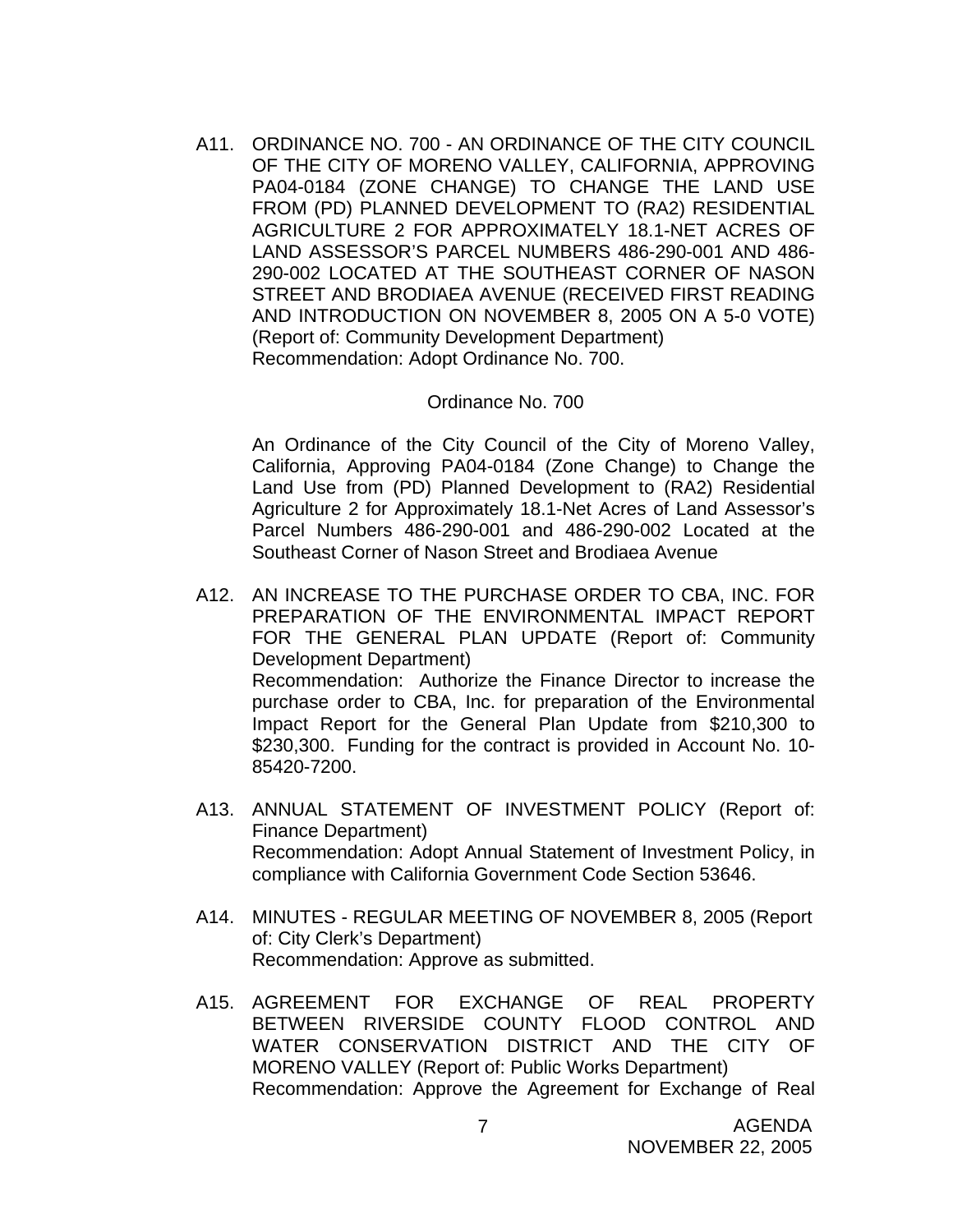A11. ORDINANCE NO. 700 - AN ORDINANCE OF THE CITY COUNCIL OF THE CITY OF MORENO VALLEY, CALIFORNIA, APPROVING PA04-0184 (ZONE CHANGE) TO CHANGE THE LAND USE FROM (PD) PLANNED DEVELOPMENT TO (RA2) RESIDENTIAL AGRICULTURE 2 FOR APPROXIMATELY 18.1-NET ACRES OF LAND ASSESSOR'S PARCEL NUMBERS 486-290-001 AND 486- 290-002 LOCATED AT THE SOUTHEAST CORNER OF NASON STREET AND BRODIAEA AVENUE (RECEIVED FIRST READING AND INTRODUCTION ON NOVEMBER 8, 2005 ON A 5-0 VOTE) (Report of: Community Development Department) Recommendation: Adopt Ordinance No. 700.

#### Ordinance No. 700

 An Ordinance of the City Council of the City of Moreno Valley, California, Approving PA04-0184 (Zone Change) to Change the Land Use from (PD) Planned Development to (RA2) Residential Agriculture 2 for Approximately 18.1-Net Acres of Land Assessor's Parcel Numbers 486-290-001 and 486-290-002 Located at the Southeast Corner of Nason Street and Brodiaea Avenue

- A12. AN INCREASE TO THE PURCHASE ORDER TO CBA, INC. FOR PREPARATION OF THE ENVIRONMENTAL IMPACT REPORT FOR THE GENERAL PLAN UPDATE (Report of: Community Development Department) Recommendation: Authorize the Finance Director to increase the purchase order to CBA, Inc. for preparation of the Environmental Impact Report for the General Plan Update from \$210,300 to \$230,300. Funding for the contract is provided in Account No. 10-85420-7200.
- A13. ANNUAL STATEMENT OF INVESTMENT POLICY (Report of: Finance Department) Recommendation: Adopt Annual Statement of Investment Policy, in compliance with California Government Code Section 53646.
- A14. MINUTES REGULAR MEETING OF NOVEMBER 8, 2005 (Report of: City Clerk's Department) Recommendation: Approve as submitted.
- A15. AGREEMENT FOR EXCHANGE OF REAL PROPERTY BETWEEN RIVERSIDE COUNTY FLOOD CONTROL AND WATER CONSERVATION DISTRICT AND THE CITY OF MORENO VALLEY (Report of: Public Works Department) Recommendation: Approve the Agreement for Exchange of Real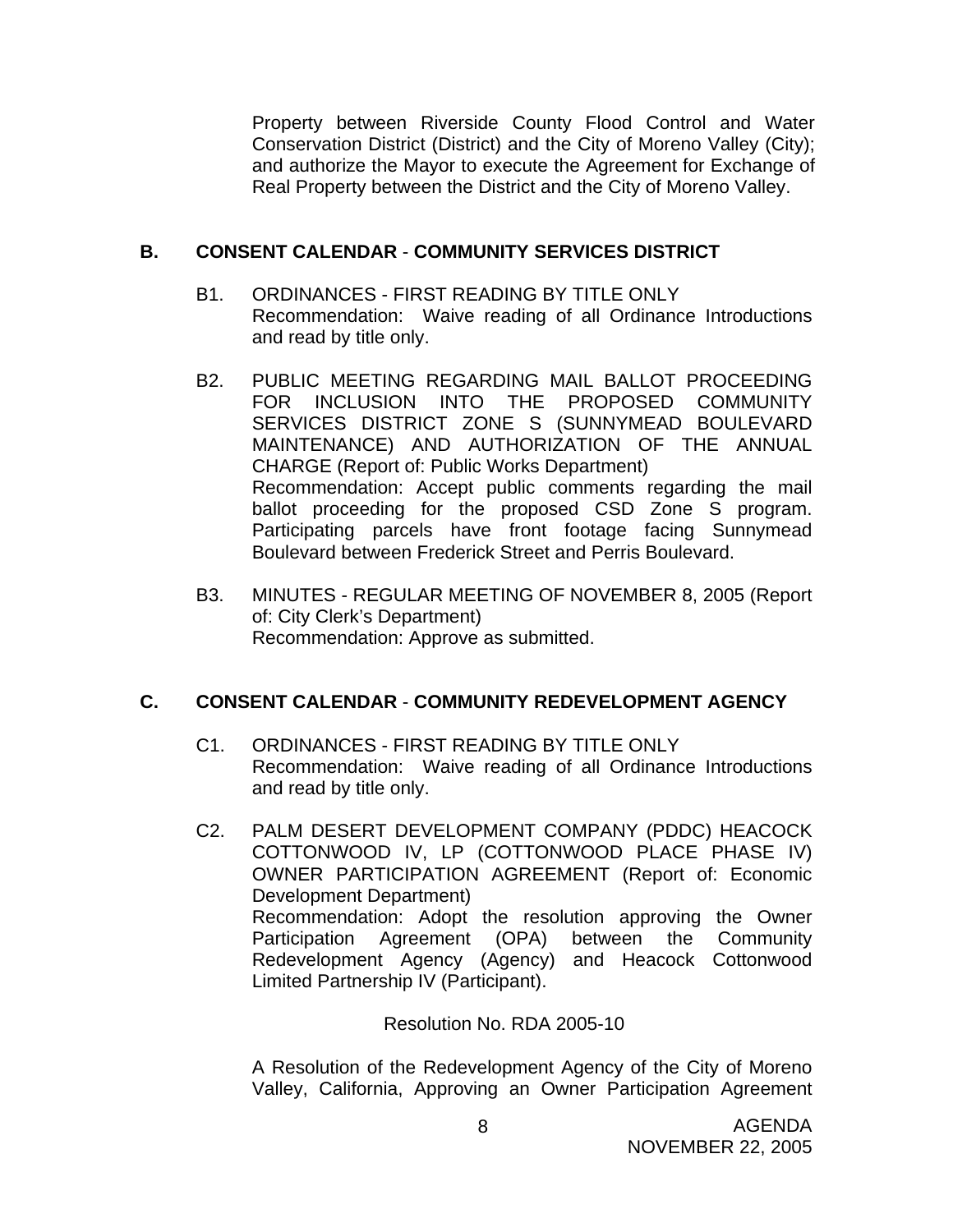Property between Riverside County Flood Control and Water Conservation District (District) and the City of Moreno Valley (City); and authorize the Mayor to execute the Agreement for Exchange of Real Property between the District and the City of Moreno Valley.

### **B. CONSENT CALENDAR** - **COMMUNITY SERVICES DISTRICT**

- B1. ORDINANCES FIRST READING BY TITLE ONLY Recommendation: Waive reading of all Ordinance Introductions and read by title only.
- B2. PUBLIC MEETING REGARDING MAIL BALLOT PROCEEDING FOR INCLUSION INTO THE PROPOSED COMMUNITY SERVICES DISTRICT ZONE S (SUNNYMEAD BOULEVARD MAINTENANCE) AND AUTHORIZATION OF THE ANNUAL CHARGE (Report of: Public Works Department) Recommendation: Accept public comments regarding the mail ballot proceeding for the proposed CSD Zone S program. Participating parcels have front footage facing Sunnymead Boulevard between Frederick Street and Perris Boulevard.
- B3. MINUTES REGULAR MEETING OF NOVEMBER 8, 2005 (Report of: City Clerk's Department) Recommendation: Approve as submitted.

# **C. CONSENT CALENDAR** - **COMMUNITY REDEVELOPMENT AGENCY**

- C1. ORDINANCES FIRST READING BY TITLE ONLY Recommendation: Waive reading of all Ordinance Introductions and read by title only.
- C2. PALM DESERT DEVELOPMENT COMPANY (PDDC) HEACOCK COTTONWOOD IV, LP (COTTONWOOD PLACE PHASE IV) OWNER PARTICIPATION AGREEMENT (Report of: Economic Development Department) Recommendation: Adopt the resolution approving the Owner Participation Agreement (OPA) between the Community Redevelopment Agency (Agency) and Heacock Cottonwood Limited Partnership IV (Participant).

Resolution No. RDA 2005-10

 A Resolution of the Redevelopment Agency of the City of Moreno Valley, California, Approving an Owner Participation Agreement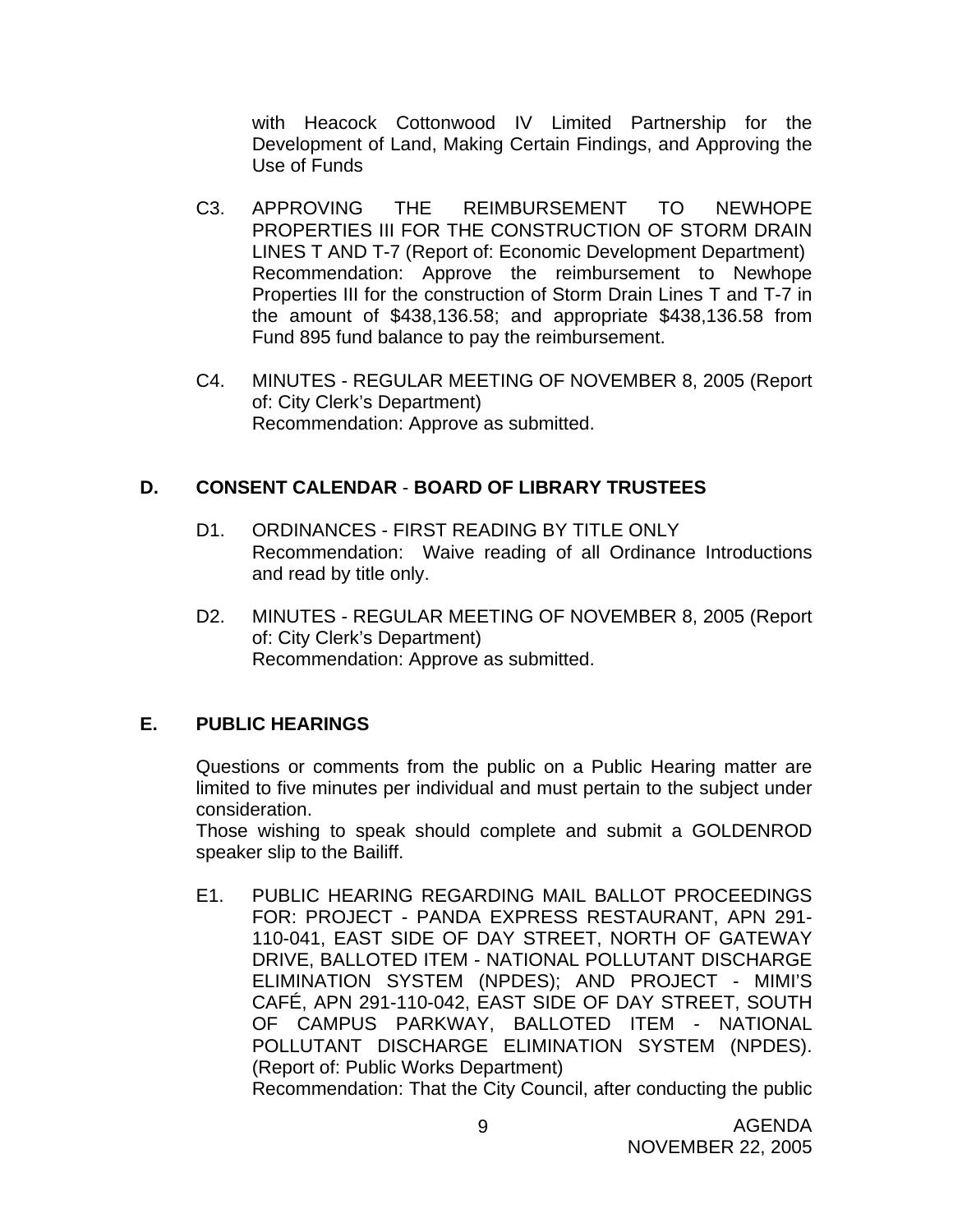with Heacock Cottonwood IV Limited Partnership for the Development of Land, Making Certain Findings, and Approving the Use of Funds

- C3. APPROVING THE REIMBURSEMENT TO NEWHOPE PROPERTIES III FOR THE CONSTRUCTION OF STORM DRAIN LINES T AND T-7 (Report of: Economic Development Department) Recommendation: Approve the reimbursement to Newhope Properties III for the construction of Storm Drain Lines T and T-7 in the amount of \$438,136.58; and appropriate \$438,136.58 from Fund 895 fund balance to pay the reimbursement.
- C4. MINUTES REGULAR MEETING OF NOVEMBER 8, 2005 (Report of: City Clerk's Department) Recommendation: Approve as submitted.

### **D. CONSENT CALENDAR** - **BOARD OF LIBRARY TRUSTEES**

- D1. ORDINANCES FIRST READING BY TITLE ONLY Recommendation: Waive reading of all Ordinance Introductions and read by title only.
- D2. MINUTES REGULAR MEETING OF NOVEMBER 8, 2005 (Report of: City Clerk's Department) Recommendation: Approve as submitted.

# **E. PUBLIC HEARINGS**

Questions or comments from the public on a Public Hearing matter are limited to five minutes per individual and must pertain to the subject under consideration.

 Those wishing to speak should complete and submit a GOLDENROD speaker slip to the Bailiff.

E1. PUBLIC HEARING REGARDING MAIL BALLOT PROCEEDINGS FOR: PROJECT - PANDA EXPRESS RESTAURANT, APN 291- 110-041, EAST SIDE OF DAY STREET, NORTH OF GATEWAY DRIVE, BALLOTED ITEM - NATIONAL POLLUTANT DISCHARGE ELIMINATION SYSTEM (NPDES); AND PROJECT - MIMI'S CAFÉ, APN 291-110-042, EAST SIDE OF DAY STREET, SOUTH OF CAMPUS PARKWAY, BALLOTED ITEM - NATIONAL POLLUTANT DISCHARGE ELIMINATION SYSTEM (NPDES). (Report of: Public Works Department) Recommendation: That the City Council, after conducting the public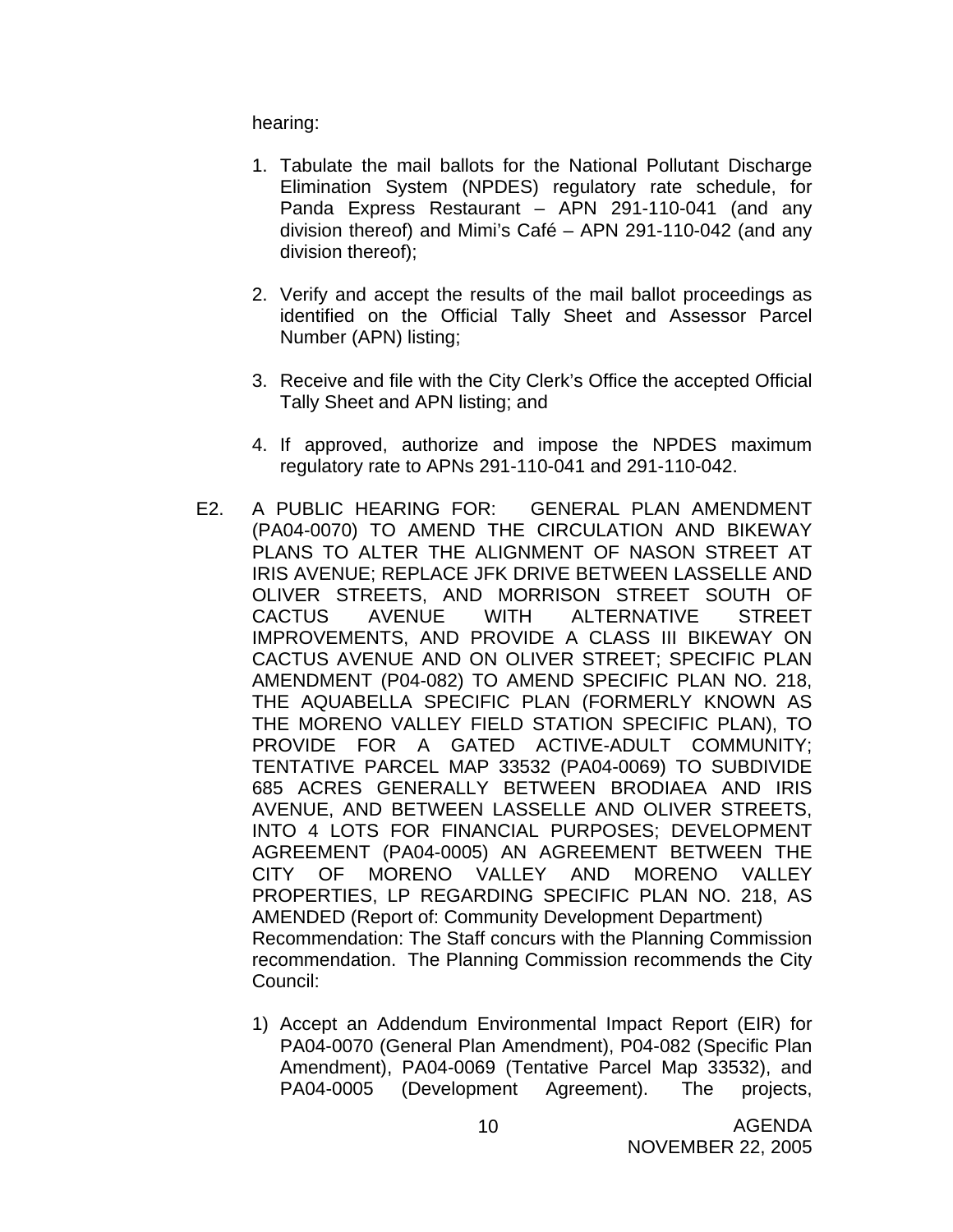hearing:

- 1. Tabulate the mail ballots for the National Pollutant Discharge Elimination System (NPDES) regulatory rate schedule, for Panda Express Restaurant – APN 291-110-041 (and any division thereof) and Mimi's Café – APN 291-110-042 (and any division thereof);
- 2. Verify and accept the results of the mail ballot proceedings as identified on the Official Tally Sheet and Assessor Parcel Number (APN) listing;
- 3. Receive and file with the City Clerk's Office the accepted Official Tally Sheet and APN listing; and
- 4. If approved, authorize and impose the NPDES maximum regulatory rate to APNs 291-110-041 and 291-110-042.
- E2. A PUBLIC HEARING FOR: GENERAL PLAN AMENDMENT (PA04-0070) TO AMEND THE CIRCULATION AND BIKEWAY PLANS TO ALTER THE ALIGNMENT OF NASON STREET AT IRIS AVENUE; REPLACE JFK DRIVE BETWEEN LASSELLE AND OLIVER STREETS, AND MORRISON STREET SOUTH OF CACTUS AVENUE WITH ALTERNATIVE STREET IMPROVEMENTS, AND PROVIDE A CLASS III BIKEWAY ON CACTUS AVENUE AND ON OLIVER STREET; SPECIFIC PLAN AMENDMENT (P04-082) TO AMEND SPECIFIC PLAN NO. 218, THE AQUABELLA SPECIFIC PLAN (FORMERLY KNOWN AS THE MORENO VALLEY FIELD STATION SPECIFIC PLAN), TO PROVIDE FOR A GATED ACTIVE-ADULT COMMUNITY; TENTATIVE PARCEL MAP 33532 (PA04-0069) TO SUBDIVIDE 685 ACRES GENERALLY BETWEEN BRODIAEA AND IRIS AVENUE, AND BETWEEN LASSELLE AND OLIVER STREETS, INTO 4 LOTS FOR FINANCIAL PURPOSES; DEVELOPMENT AGREEMENT (PA04-0005) AN AGREEMENT BETWEEN THE CITY OF MORENO VALLEY AND MORENO VALLEY PROPERTIES, LP REGARDING SPECIFIC PLAN NO. 218, AS AMENDED (Report of: Community Development Department) Recommendation: The Staff concurs with the Planning Commission recommendation. The Planning Commission recommends the City Council:
	- 1) Accept an Addendum Environmental Impact Report (EIR) for PA04-0070 (General Plan Amendment), P04-082 (Specific Plan Amendment), PA04-0069 (Tentative Parcel Map 33532), and PA04-0005 (Development Agreement). The projects,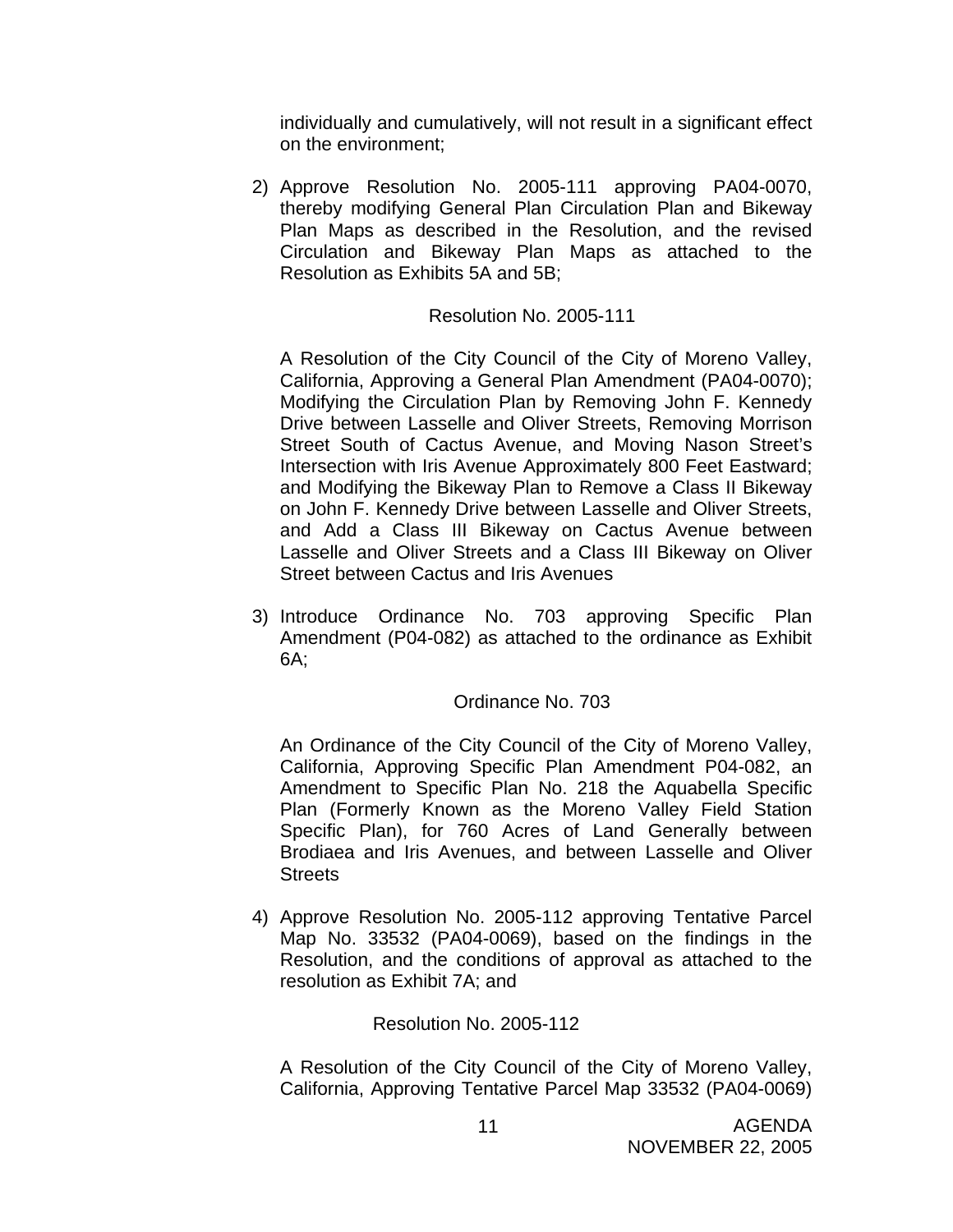individually and cumulatively, will not result in a significant effect on the environment;

2) Approve Resolution No. 2005-111 approving PA04-0070, thereby modifying General Plan Circulation Plan and Bikeway Plan Maps as described in the Resolution, and the revised Circulation and Bikeway Plan Maps as attached to the Resolution as Exhibits 5A and 5B;

#### Resolution No. 2005-111

A Resolution of the City Council of the City of Moreno Valley, California, Approving a General Plan Amendment (PA04-0070); Modifying the Circulation Plan by Removing John F. Kennedy Drive between Lasselle and Oliver Streets, Removing Morrison Street South of Cactus Avenue, and Moving Nason Street's Intersection with Iris Avenue Approximately 800 Feet Eastward; and Modifying the Bikeway Plan to Remove a Class II Bikeway on John F. Kennedy Drive between Lasselle and Oliver Streets, and Add a Class III Bikeway on Cactus Avenue between Lasselle and Oliver Streets and a Class III Bikeway on Oliver Street between Cactus and Iris Avenues

3) Introduce Ordinance No. 703 approving Specific Plan Amendment (P04-082) as attached to the ordinance as Exhibit 6A;

### Ordinance No. 703

An Ordinance of the City Council of the City of Moreno Valley, California, Approving Specific Plan Amendment P04-082, an Amendment to Specific Plan No. 218 the Aquabella Specific Plan (Formerly Known as the Moreno Valley Field Station Specific Plan), for 760 Acres of Land Generally between Brodiaea and Iris Avenues, and between Lasselle and Oliver **Streets** 

4) Approve Resolution No. 2005-112 approving Tentative Parcel Map No. 33532 (PA04-0069), based on the findings in the Resolution, and the conditions of approval as attached to the resolution as Exhibit 7A; and

Resolution No. 2005-112

A Resolution of the City Council of the City of Moreno Valley, California, Approving Tentative Parcel Map 33532 (PA04-0069)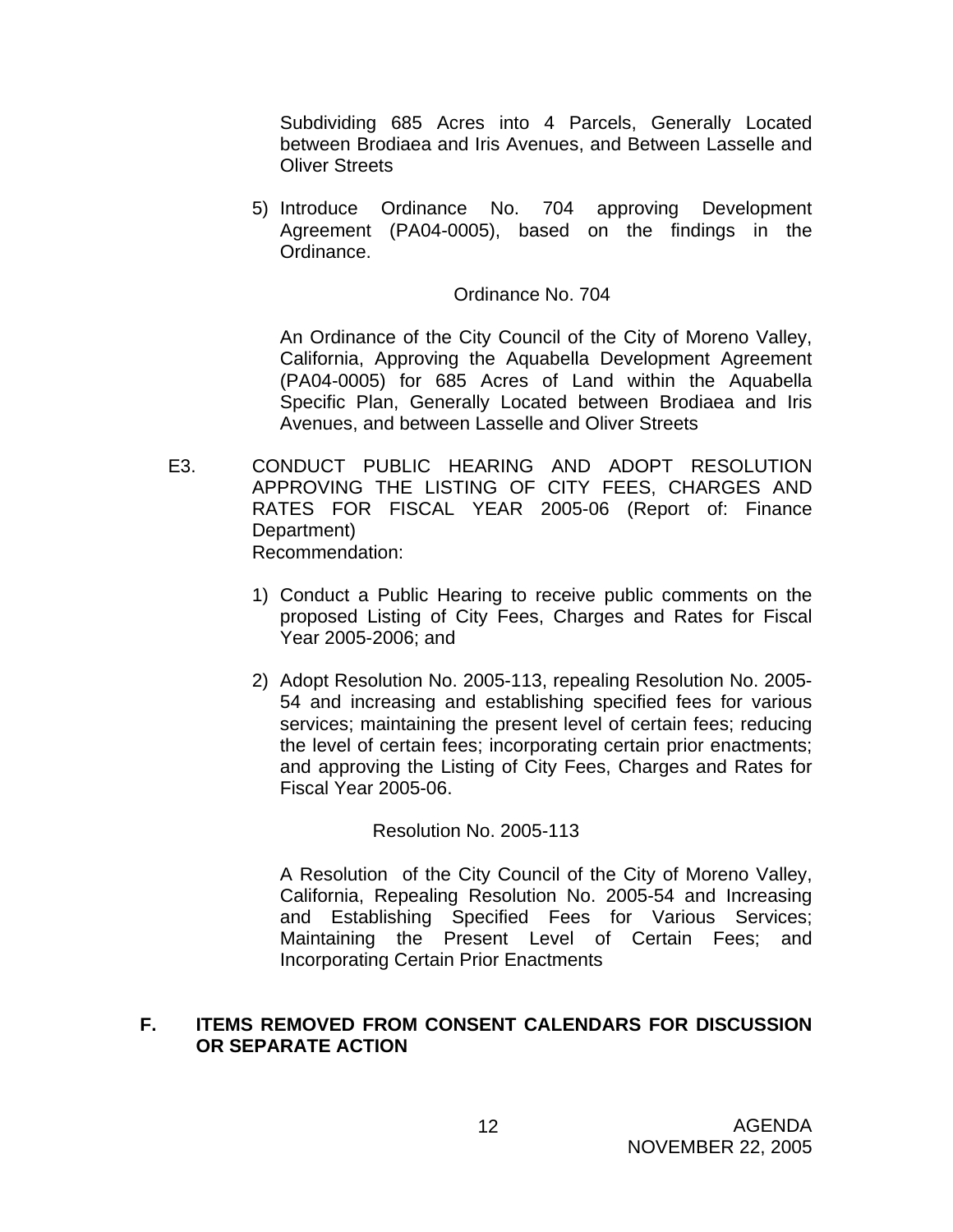Subdividing 685 Acres into 4 Parcels, Generally Located between Brodiaea and Iris Avenues, and Between Lasselle and Oliver Streets

5) Introduce Ordinance No. 704 approving Development Agreement (PA04-0005), based on the findings in the Ordinance.

#### Ordinance No. 704

 An Ordinance of the City Council of the City of Moreno Valley, California, Approving the Aquabella Development Agreement (PA04-0005) for 685 Acres of Land within the Aquabella Specific Plan, Generally Located between Brodiaea and Iris Avenues, and between Lasselle and Oliver Streets

- E3. CONDUCT PUBLIC HEARING AND ADOPT RESOLUTION APPROVING THE LISTING OF CITY FEES, CHARGES AND RATES FOR FISCAL YEAR 2005-06 (Report of: Finance Department) Recommendation:
	- 1) Conduct a Public Hearing to receive public comments on the proposed Listing of City Fees, Charges and Rates for Fiscal Year 2005-2006; and
	- 2) Adopt Resolution No. 2005-113, repealing Resolution No. 2005- 54 and increasing and establishing specified fees for various services; maintaining the present level of certain fees; reducing the level of certain fees; incorporating certain prior enactments; and approving the Listing of City Fees, Charges and Rates for Fiscal Year 2005-06.

Resolution No. 2005-113

A Resolution of the City Council of the City of Moreno Valley, California, Repealing Resolution No. 2005-54 and Increasing and Establishing Specified Fees for Various Services; Maintaining the Present Level of Certain Fees; and Incorporating Certain Prior Enactments

#### **F. ITEMS REMOVED FROM CONSENT CALENDARS FOR DISCUSSION OR SEPARATE ACTION**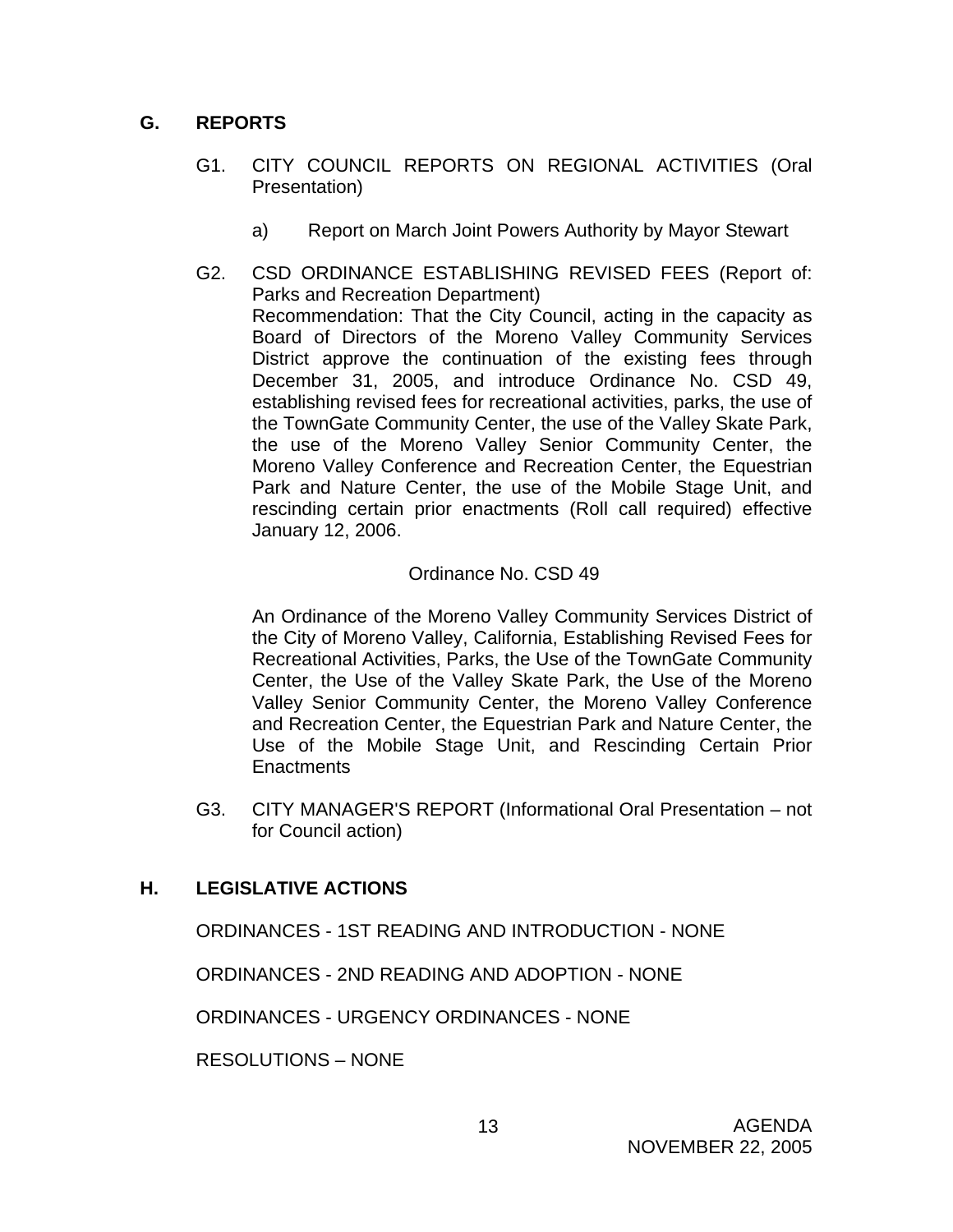# **G. REPORTS**

- G1. CITY COUNCIL REPORTS ON REGIONAL ACTIVITIES (Oral Presentation)
	- a) Report on March Joint Powers Authority by Mayor Stewart
- G2. CSD ORDINANCE ESTABLISHING REVISED FEES (Report of: Parks and Recreation Department) Recommendation: That the City Council, acting in the capacity as Board of Directors of the Moreno Valley Community Services District approve the continuation of the existing fees through December 31, 2005, and introduce Ordinance No. CSD 49, establishing revised fees for recreational activities, parks, the use of the TownGate Community Center, the use of the Valley Skate Park, the use of the Moreno Valley Senior Community Center, the Moreno Valley Conference and Recreation Center, the Equestrian Park and Nature Center, the use of the Mobile Stage Unit, and rescinding certain prior enactments (Roll call required) effective January 12, 2006.

### Ordinance No. CSD 49

 An Ordinance of the Moreno Valley Community Services District of the City of Moreno Valley, California, Establishing Revised Fees for Recreational Activities, Parks, the Use of the TownGate Community Center, the Use of the Valley Skate Park, the Use of the Moreno Valley Senior Community Center, the Moreno Valley Conference and Recreation Center, the Equestrian Park and Nature Center, the Use of the Mobile Stage Unit, and Rescinding Certain Prior **Enactments** 

G3. CITY MANAGER'S REPORT (Informational Oral Presentation – not for Council action)

# **H. LEGISLATIVE ACTIONS**

ORDINANCES - 1ST READING AND INTRODUCTION - NONE

ORDINANCES - 2ND READING AND ADOPTION - NONE

ORDINANCES - URGENCY ORDINANCES - NONE

RESOLUTIONS – NONE